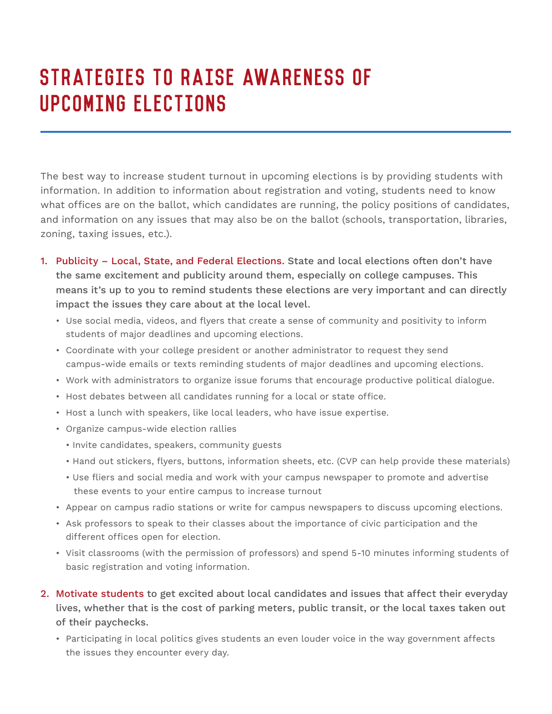## Strategies to Raise Awareness of Upcoming Elections

The best way to increase student turnout in upcoming elections is by providing students with information. In addition to information about registration and voting, students need to know what offices are on the ballot, which candidates are running, the policy positions of candidates, and information on any issues that may also be on the ballot (schools, transportation, libraries, zoning, taxing issues, etc.).

- 1. Publicity Local, State, and Federal Elections. State and local elections often don't have the same excitement and publicity around them, especially on college campuses. This means it's up to you to remind students these elections are very important and can directly impact the issues they care about at the local level.
	- Use social media, videos, and flyers that create a sense of community and positivity to inform students of major deadlines and upcoming elections.
	- Coordinate with your college president or another administrator to request they send campus-wide emails or texts reminding students of major deadlines and upcoming elections.
	- Work with administrators to organize issue forums that encourage productive political dialogue.
	- Host debates between all candidates running for a local or state office.
	- Host a lunch with speakers, like local leaders, who have issue expertise.
	- Organize campus-wide election rallies
		- Invite candidates, speakers, community guests
		- Hand out stickers, flyers, buttons, information sheets, etc. (CVP can help provide these materials)
		- Use fliers and social media and work with your campus newspaper to promote and advertise these events to your entire campus to increase turnout
	- Appear on campus radio stations or write for campus newspapers to discuss upcoming elections.
	- Ask professors to speak to their classes about the importance of civic participation and the different offices open for election.
	- Visit classrooms (with the permission of professors) and spend 5-10 minutes informing students of basic registration and voting information.
- 2. Motivate students to get excited about local candidates and issues that affect their everyday lives, whether that is the cost of parking meters, public transit, or the local taxes taken out of their paychecks.
	- Participating in local politics gives students an even louder voice in the way government affects the issues they encounter every day.